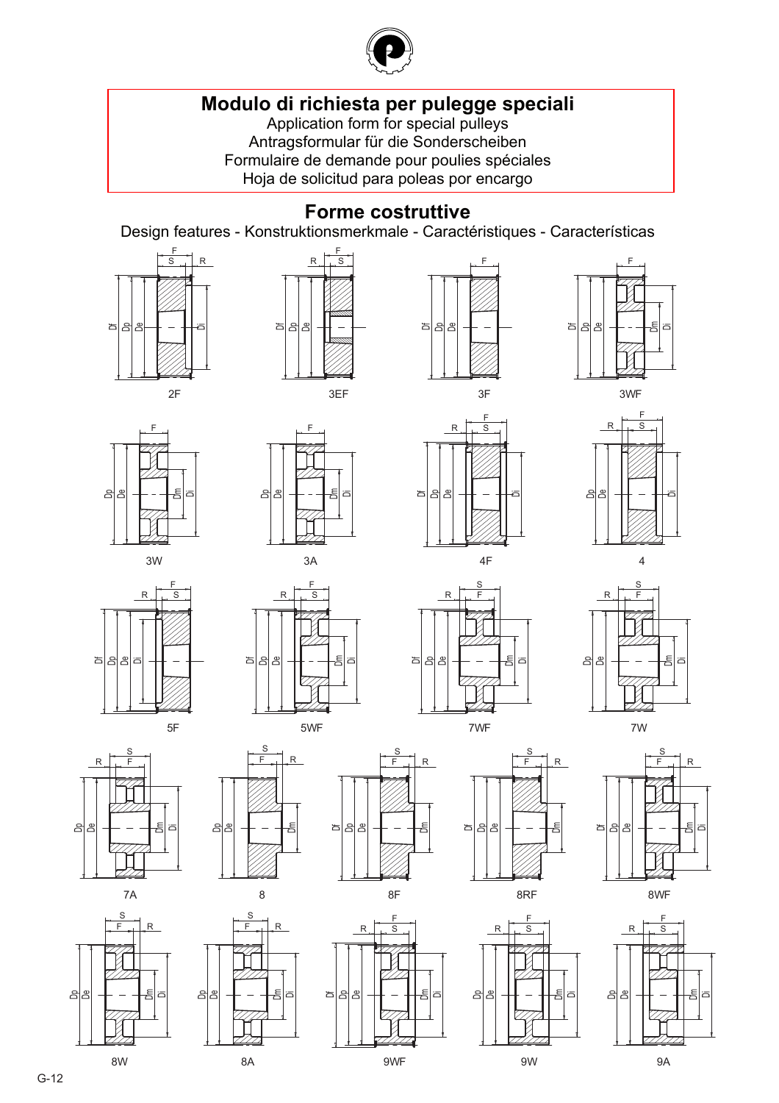

# **[Modulo di richiesta per pulegge speciali](#page--1-0)**

Application form for special pulleys Antragsformular für die Sonderscheiben Formulaire de demande pour poulies spéciales Hoja de solicitud para poleas por encargo

### **Forme costruttive**

Design features - Konstruktionsmerkmale - Caractéristiques - Características



 $2F$ 























 $\overline{\mathbf{4}}$ 











λF ä



⋴







පු පු පි



- $R$  $S$ 

冒









- $L R$  $\mathsf{S}$ 

පිූප

 $\overline{8}$ 

-

 $S$ 

훔 ਨ

පිපී

8W

- $L R$  $\mathsf{S}$ 

> 훔  $\overline{a}$

පි පී

පිූප

 $\overline{R}$  $-\frac{F}{F}$  $\overline{\mathbf{s}}$